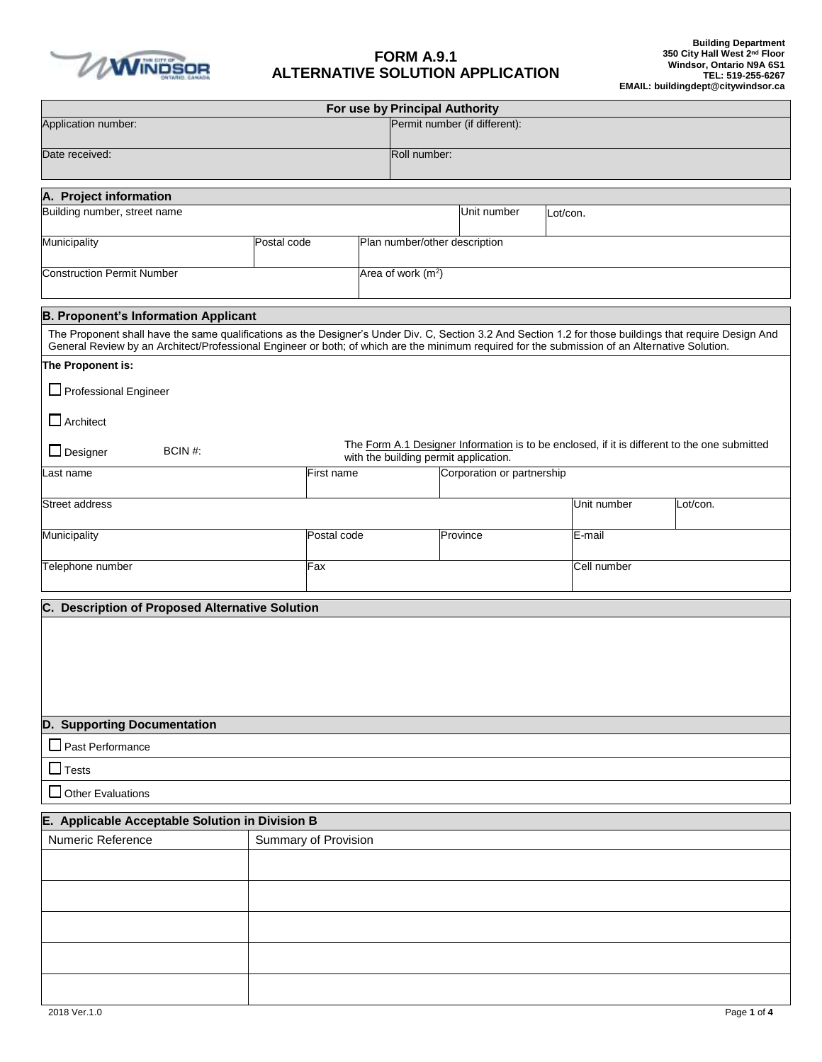

## **FORM A.9.1 ALTERNATIVE SOLUTION APPLICATION**

|                                                                                                                                                                                                                                                                                                            |                      |             |  | For use by Principal Authority        |              |                                                                                              |          |             |          |  |
|------------------------------------------------------------------------------------------------------------------------------------------------------------------------------------------------------------------------------------------------------------------------------------------------------------|----------------------|-------------|--|---------------------------------------|--------------|----------------------------------------------------------------------------------------------|----------|-------------|----------|--|
| Application number:                                                                                                                                                                                                                                                                                        |                      |             |  |                                       |              | Permit number (if different):                                                                |          |             |          |  |
| Date received:                                                                                                                                                                                                                                                                                             |                      |             |  |                                       | Roll number: |                                                                                              |          |             |          |  |
|                                                                                                                                                                                                                                                                                                            |                      |             |  |                                       |              |                                                                                              |          |             |          |  |
| A. Project information<br>Building number, street name                                                                                                                                                                                                                                                     |                      |             |  |                                       |              | Unit number                                                                                  | Lot/con. |             |          |  |
|                                                                                                                                                                                                                                                                                                            |                      |             |  |                                       |              |                                                                                              |          |             |          |  |
| Municipality                                                                                                                                                                                                                                                                                               | Postal code          |             |  | Plan number/other description         |              |                                                                                              |          |             |          |  |
| <b>Construction Permit Number</b>                                                                                                                                                                                                                                                                          |                      |             |  | Area of work (m <sup>2</sup> )        |              |                                                                                              |          |             |          |  |
| <b>B. Proponent's Information Applicant</b>                                                                                                                                                                                                                                                                |                      |             |  |                                       |              |                                                                                              |          |             |          |  |
| The Proponent shall have the same qualifications as the Designer's Under Div. C, Section 3.2 And Section 1.2 for those buildings that require Design And<br>General Review by an Architect/Professional Engineer or both; of which are the minimum required for the submission of an Alternative Solution. |                      |             |  |                                       |              |                                                                                              |          |             |          |  |
| The Proponent is:                                                                                                                                                                                                                                                                                          |                      |             |  |                                       |              |                                                                                              |          |             |          |  |
| $\Box$ Professional Engineer                                                                                                                                                                                                                                                                               |                      |             |  |                                       |              |                                                                                              |          |             |          |  |
| $\Box$ Architect                                                                                                                                                                                                                                                                                           |                      |             |  |                                       |              |                                                                                              |          |             |          |  |
| $\Box$ Designer<br>BCIN#:                                                                                                                                                                                                                                                                                  |                      |             |  |                                       |              | The Form A.1 Designer Information is to be enclosed, if it is different to the one submitted |          |             |          |  |
| Last name                                                                                                                                                                                                                                                                                                  |                      | First name  |  | with the building permit application. |              | Corporation or partnership                                                                   |          |             |          |  |
| Street address                                                                                                                                                                                                                                                                                             |                      |             |  |                                       |              |                                                                                              |          | Unit number | Lot/con. |  |
|                                                                                                                                                                                                                                                                                                            |                      |             |  |                                       |              |                                                                                              |          |             |          |  |
| Municipality                                                                                                                                                                                                                                                                                               |                      | Postal code |  |                                       |              | Province                                                                                     |          | $E$ -mail   |          |  |
| Telephone number                                                                                                                                                                                                                                                                                           |                      | Fax         |  |                                       |              |                                                                                              |          | Cell number |          |  |
| C. Description of Proposed Alternative Solution                                                                                                                                                                                                                                                            |                      |             |  |                                       |              |                                                                                              |          |             |          |  |
|                                                                                                                                                                                                                                                                                                            |                      |             |  |                                       |              |                                                                                              |          |             |          |  |
|                                                                                                                                                                                                                                                                                                            |                      |             |  |                                       |              |                                                                                              |          |             |          |  |
|                                                                                                                                                                                                                                                                                                            |                      |             |  |                                       |              |                                                                                              |          |             |          |  |
|                                                                                                                                                                                                                                                                                                            |                      |             |  |                                       |              |                                                                                              |          |             |          |  |
| D. Supporting Documentation                                                                                                                                                                                                                                                                                |                      |             |  |                                       |              |                                                                                              |          |             |          |  |
| $\Box$ Past Performance                                                                                                                                                                                                                                                                                    |                      |             |  |                                       |              |                                                                                              |          |             |          |  |
| $\Box$ Tests                                                                                                                                                                                                                                                                                               |                      |             |  |                                       |              |                                                                                              |          |             |          |  |
| $\Box$ Other Evaluations                                                                                                                                                                                                                                                                                   |                      |             |  |                                       |              |                                                                                              |          |             |          |  |
| E. Applicable Acceptable Solution in Division B<br>Numeric Reference                                                                                                                                                                                                                                       | Summary of Provision |             |  |                                       |              |                                                                                              |          |             |          |  |
|                                                                                                                                                                                                                                                                                                            |                      |             |  |                                       |              |                                                                                              |          |             |          |  |
|                                                                                                                                                                                                                                                                                                            |                      |             |  |                                       |              |                                                                                              |          |             |          |  |
|                                                                                                                                                                                                                                                                                                            |                      |             |  |                                       |              |                                                                                              |          |             |          |  |
|                                                                                                                                                                                                                                                                                                            |                      |             |  |                                       |              |                                                                                              |          |             |          |  |
|                                                                                                                                                                                                                                                                                                            |                      |             |  |                                       |              |                                                                                              |          |             |          |  |
|                                                                                                                                                                                                                                                                                                            |                      |             |  |                                       |              |                                                                                              |          |             |          |  |
|                                                                                                                                                                                                                                                                                                            |                      |             |  |                                       |              |                                                                                              |          |             |          |  |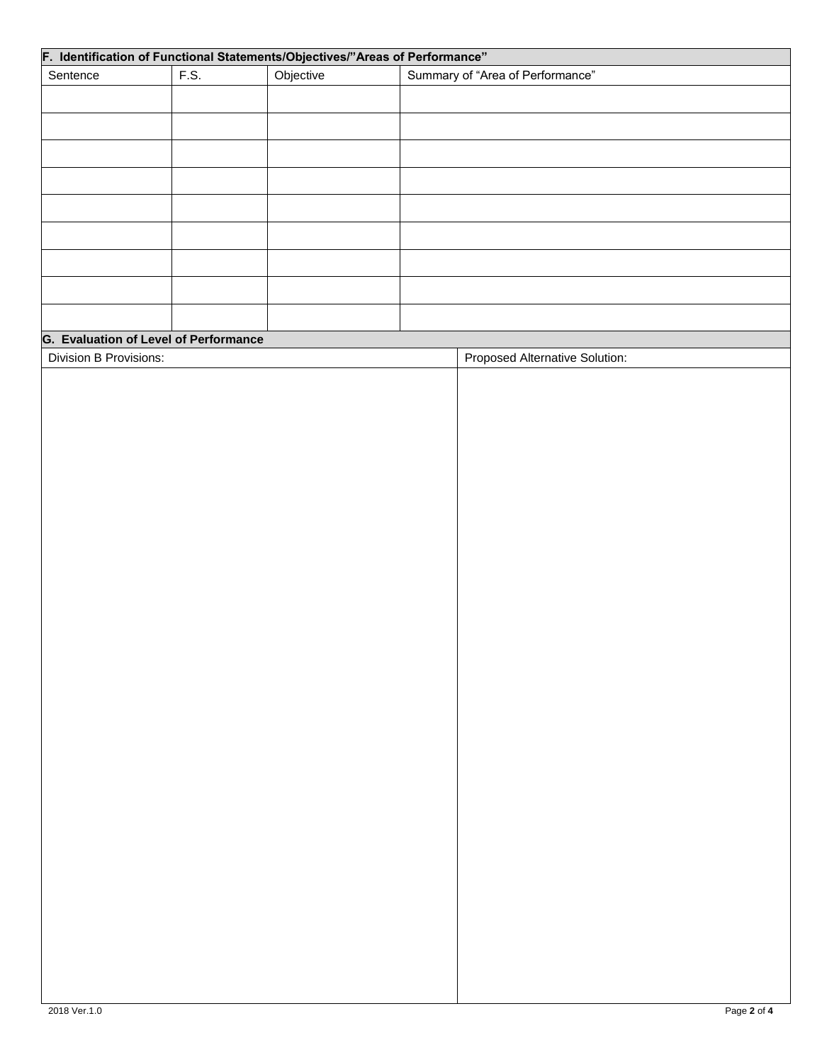| Sentence               | F.S.                                         | F. Identification of Functional Statements/Objectives/"Areas of Performance"<br>Objective | Summary of "Area of Performance" |
|------------------------|----------------------------------------------|-------------------------------------------------------------------------------------------|----------------------------------|
|                        |                                              |                                                                                           |                                  |
|                        |                                              |                                                                                           |                                  |
|                        |                                              |                                                                                           |                                  |
|                        |                                              |                                                                                           |                                  |
|                        |                                              |                                                                                           |                                  |
|                        |                                              |                                                                                           |                                  |
|                        |                                              |                                                                                           |                                  |
|                        |                                              |                                                                                           |                                  |
|                        |                                              |                                                                                           |                                  |
|                        |                                              |                                                                                           |                                  |
|                        |                                              |                                                                                           |                                  |
|                        |                                              |                                                                                           |                                  |
|                        |                                              |                                                                                           |                                  |
|                        | <b>G. Evaluation of Level of Performance</b> |                                                                                           |                                  |
| Division B Provisions: |                                              |                                                                                           | Proposed Alternative Solution:   |
|                        |                                              |                                                                                           |                                  |
|                        |                                              |                                                                                           |                                  |
|                        |                                              |                                                                                           |                                  |
|                        |                                              |                                                                                           |                                  |
|                        |                                              |                                                                                           |                                  |
|                        |                                              |                                                                                           |                                  |
|                        |                                              |                                                                                           |                                  |
|                        |                                              |                                                                                           |                                  |
|                        |                                              |                                                                                           |                                  |
|                        |                                              |                                                                                           |                                  |
|                        |                                              |                                                                                           |                                  |
|                        |                                              |                                                                                           |                                  |
|                        |                                              |                                                                                           |                                  |
|                        |                                              |                                                                                           |                                  |
|                        |                                              |                                                                                           |                                  |
|                        |                                              |                                                                                           |                                  |
|                        |                                              |                                                                                           |                                  |
|                        |                                              |                                                                                           |                                  |
|                        |                                              |                                                                                           |                                  |
|                        |                                              |                                                                                           |                                  |
|                        |                                              |                                                                                           |                                  |
|                        |                                              |                                                                                           |                                  |
|                        |                                              |                                                                                           |                                  |
|                        |                                              |                                                                                           |                                  |
|                        |                                              |                                                                                           |                                  |
|                        |                                              |                                                                                           |                                  |
|                        |                                              |                                                                                           |                                  |
|                        |                                              |                                                                                           |                                  |
|                        |                                              |                                                                                           |                                  |
|                        |                                              |                                                                                           |                                  |
|                        |                                              |                                                                                           |                                  |
|                        |                                              |                                                                                           |                                  |
|                        |                                              |                                                                                           |                                  |
|                        |                                              |                                                                                           |                                  |
|                        |                                              |                                                                                           |                                  |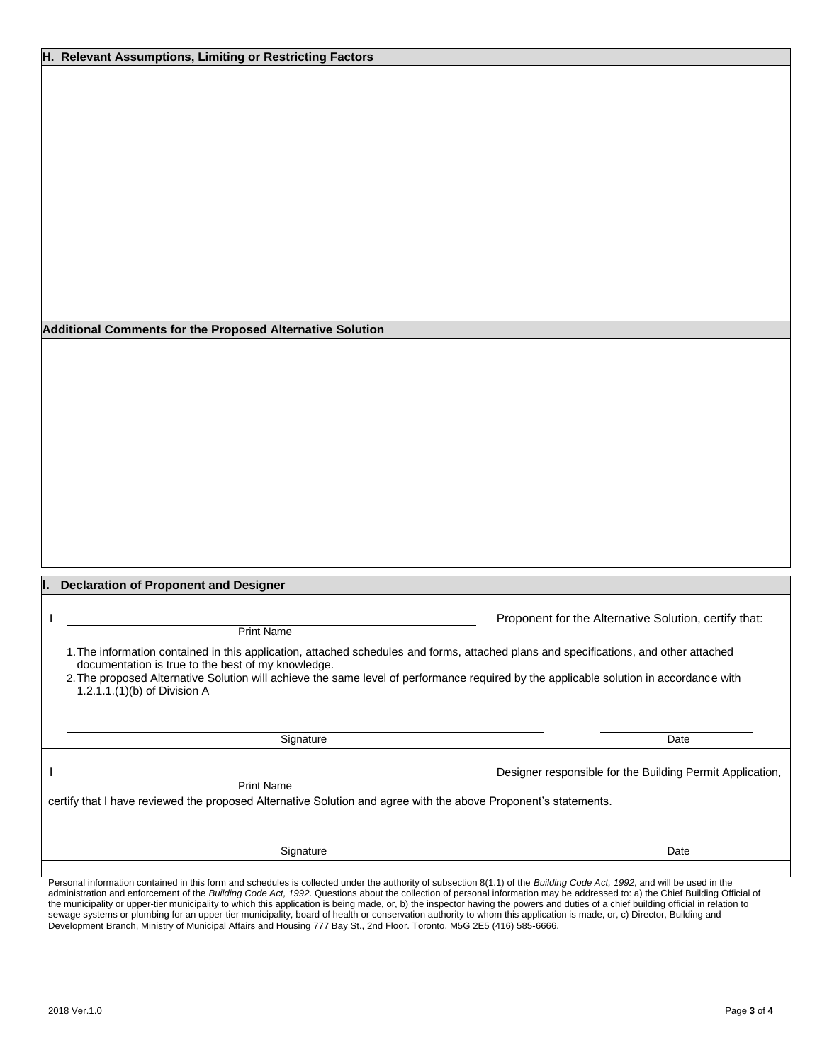|  |  |  | H. Relevant Assumptions, Limiting or Restricting Factors |  |  |  |
|--|--|--|----------------------------------------------------------|--|--|--|
|--|--|--|----------------------------------------------------------|--|--|--|

**H. Additional Comments for the Proposed Alternative Solution** 

| <b>Declaration of Proponent and Designer</b><br>Ш.                                                                                                                                                                                                                                                                                                                    |                                                           |
|-----------------------------------------------------------------------------------------------------------------------------------------------------------------------------------------------------------------------------------------------------------------------------------------------------------------------------------------------------------------------|-----------------------------------------------------------|
| <b>Print Name</b>                                                                                                                                                                                                                                                                                                                                                     | Proponent for the Alternative Solution, certify that:     |
| 1. The information contained in this application, attached schedules and forms, attached plans and specifications, and other attached<br>documentation is true to the best of my knowledge.<br>2. The proposed Alternative Solution will achieve the same level of performance required by the applicable solution in accordance with<br>1.2.1.1.(1)(b) of Division A |                                                           |
| Signature                                                                                                                                                                                                                                                                                                                                                             | Date                                                      |
| <b>Print Name</b><br>certify that I have reviewed the proposed Alternative Solution and agree with the above Proponent's statements.                                                                                                                                                                                                                                  | Designer responsible for the Building Permit Application, |
| Signature                                                                                                                                                                                                                                                                                                                                                             | Date                                                      |

Personal information contained in this form and schedules is collected under the authority of subsection 8(1.1) of the *Building Code Act, 1992*, and will be used in the administration and enforcement of the *Building Code Act, 1992*. Questions about the collection of personal information may be addressed to: a) the Chief Building Official of the municipality or upper-tier municipality to which this application is being made, or, b) the inspector having the powers and duties of a chief building official in relation to sewage systems or plumbing for an upper-tier municipality, board of health or conservation authority to whom this application is made, or, c) Director, Building and Development Branch, Ministry of Municipal Affairs and Housing 777 Bay St., 2nd Floor. Toronto, M5G 2E5 (416) 585-6666.